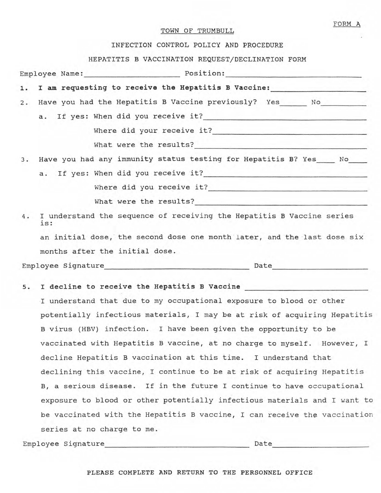## TOWN OF TRUMBULL

FORM A

## INFECTION CONTROL POLICY AND PROCEDURE

## HEPATITIS B VACCINATION REQUEST/DECLINATION FORM

|  |     |                                                          | Employee Name: Position: Position:                                               |
|--|-----|----------------------------------------------------------|----------------------------------------------------------------------------------|
|  |     |                                                          | 1. I am requesting to receive the Hepatitis B Vaccine: _________________________ |
|  |     |                                                          | 2. Have you had the Hepatitis B Vaccine previously? Yes _______ No               |
|  |     |                                                          |                                                                                  |
|  |     |                                                          |                                                                                  |
|  |     |                                                          |                                                                                  |
|  |     |                                                          | 3. Have you had any immunity status testing for Hepatitis B? Yes_____ No____     |
|  |     |                                                          |                                                                                  |
|  |     |                                                          |                                                                                  |
|  |     | What were the results?<br><u> What were the results?</u> |                                                                                  |
|  | is: |                                                          | 4. I understand the sequence of receiving the Hepatitis B Vaccine series         |
|  |     |                                                          | an initial dose, the second dose one month later, and the last dose six          |
|  |     | months after the initial dose.                           |                                                                                  |
|  |     | Employee Signature<br><u>Employee Signature</u>          | Date <u>Date</u>                                                                 |

# s. I decline to receive the Hepatitis B Vaccine

I understand that due to my occupational exposure to blood or other potentially infectious materials, I may be at risk of acquiring Hepatitis B virus (HBV) infection. I have been given the opportunity to be vaccinated with Hepatitis B vaccine, at no charge to myself. However, I decline Hepatitis B vaccination at this time. I understand that declining this vaccine, I continue to be at risk of acquiring Hepatitis B, a serious disease. If in the future I continue to have occupational exposure to blood or other potentially infectious materials and I want to be vaccinated with the Hepatitis B vaccine, I can receive the vaccination series at no charge to me.

Employee Signature \_\_\_\_\_\_\_\_\_\_\_\_\_\_\_\_\_\_ \_ Date ----------------